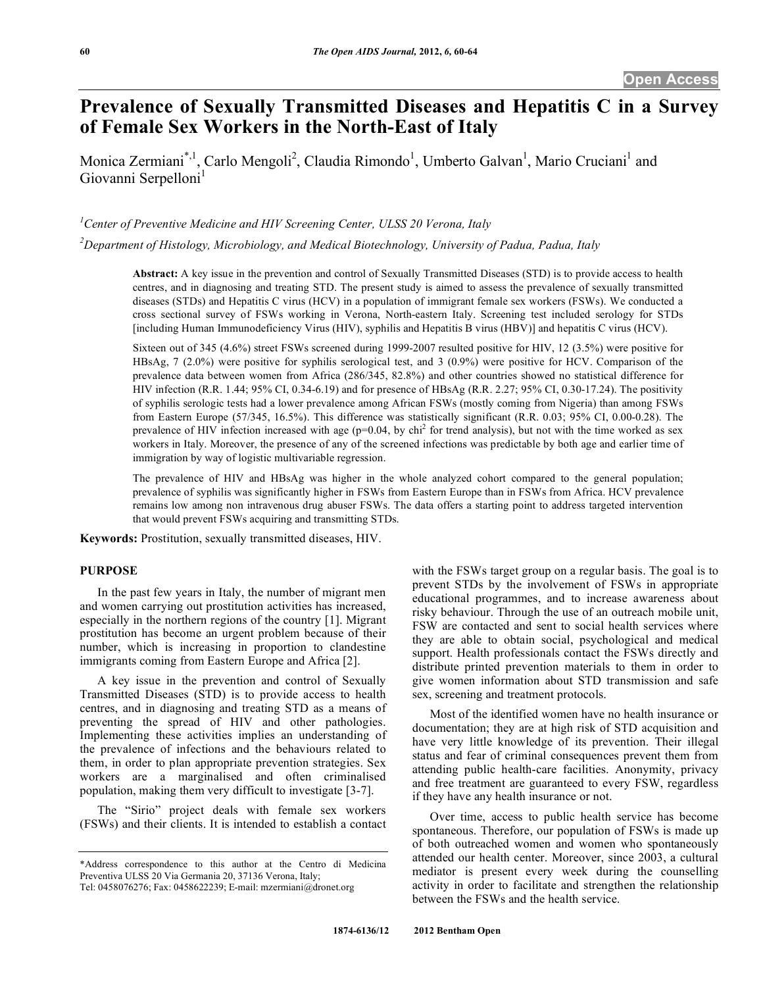# **Prevalence of Sexually Transmitted Diseases and Hepatitis C in a Survey of Female Sex Workers in the North-East of Italy**

Monica Zermiani<sup>\*,1</sup>, Carlo Mengoli<sup>2</sup>, Claudia Rimondo<sup>1</sup>, Umberto Galvan<sup>1</sup>, Mario Cruciani<sup>1</sup> and Giovanni Serpelloni<sup>1</sup>

<sup>1</sup> Center of Preventive Medicine and HIV Screening Center, ULSS 20 Verona, Italy

*2 Department of Histology, Microbiology, and Medical Biotechnology, University of Padua, Padua, Italy*

**Abstract:** A key issue in the prevention and control of Sexually Transmitted Diseases (STD) is to provide access to health centres, and in diagnosing and treating STD. The present study is aimed to assess the prevalence of sexually transmitted diseases (STDs) and Hepatitis C virus (HCV) in a population of immigrant female sex workers (FSWs). We conducted a cross sectional survey of FSWs working in Verona, North-eastern Italy. Screening test included serology for STDs [including Human Immunodeficiency Virus (HIV), syphilis and Hepatitis B virus (HBV)] and hepatitis C virus (HCV).

Sixteen out of 345 (4.6%) street FSWs screened during 1999-2007 resulted positive for HIV, 12 (3.5%) were positive for HBsAg, 7 (2.0%) were positive for syphilis serological test, and 3 (0.9%) were positive for HCV. Comparison of the prevalence data between women from Africa (286/345, 82.8%) and other countries showed no statistical difference for HIV infection (R.R. 1.44; 95% CI, 0.34-6.19) and for presence of HBsAg (R.R. 2.27; 95% CI, 0.30-17.24). The positivity of syphilis serologic tests had a lower prevalence among African FSWs (mostly coming from Nigeria) than among FSWs from Eastern Europe (57/345, 16.5%). This difference was statistically significant (R.R. 0.03; 95% CI, 0.00-0.28). The prevalence of HIV infection increased with age  $(p=0.04, by ch<sup>2</sup>$  for trend analysis), but not with the time worked as sex workers in Italy. Moreover, the presence of any of the screened infections was predictable by both age and earlier time of immigration by way of logistic multivariable regression.

The prevalence of HIV and HBsAg was higher in the whole analyzed cohort compared to the general population; prevalence of syphilis was significantly higher in FSWs from Eastern Europe than in FSWs from Africa. HCV prevalence remains low among non intravenous drug abuser FSWs. The data offers a starting point to address targeted intervention that would prevent FSWs acquiring and transmitting STDs.

**Keywords:** Prostitution, sexually transmitted diseases, HIV.

### **PURPOSE**

 In the past few years in Italy, the number of migrant men and women carrying out prostitution activities has increased, especially in the northern regions of the country [1]. Migrant prostitution has become an urgent problem because of their number, which is increasing in proportion to clandestine immigrants coming from Eastern Europe and Africa [2].

 A key issue in the prevention and control of Sexually Transmitted Diseases (STD) is to provide access to health centres, and in diagnosing and treating STD as a means of preventing the spread of HIV and other pathologies. Implementing these activities implies an understanding of the prevalence of infections and the behaviours related to them, in order to plan appropriate prevention strategies. Sex workers are a marginalised and often criminalised population, making them very difficult to investigate [3-7].

 The "Sirio" project deals with female sex workers (FSWs) and their clients. It is intended to establish a contact with the FSWs target group on a regular basis. The goal is to prevent STDs by the involvement of FSWs in appropriate educational programmes, and to increase awareness about risky behaviour. Through the use of an outreach mobile unit, FSW are contacted and sent to social health services where they are able to obtain social, psychological and medical support. Health professionals contact the FSWs directly and distribute printed prevention materials to them in order to give women information about STD transmission and safe sex, screening and treatment protocols.

 Most of the identified women have no health insurance or documentation; they are at high risk of STD acquisition and have very little knowledge of its prevention. Their illegal status and fear of criminal consequences prevent them from attending public health-care facilities. Anonymity, privacy and free treatment are guaranteed to every FSW, regardless if they have any health insurance or not.

 Over time, access to public health service has become spontaneous. Therefore, our population of FSWs is made up of both outreached women and women who spontaneously attended our health center. Moreover, since 2003, a cultural mediator is present every week during the counselling activity in order to facilitate and strengthen the relationship between the FSWs and the health service.

<sup>\*</sup>Address correspondence to this author at the Centro di Medicina Preventiva ULSS 20 Via Germania 20, 37136 Verona, Italy; Tel: 0458076276; Fax: 0458622239; E-mail: mzermiani@dronet.org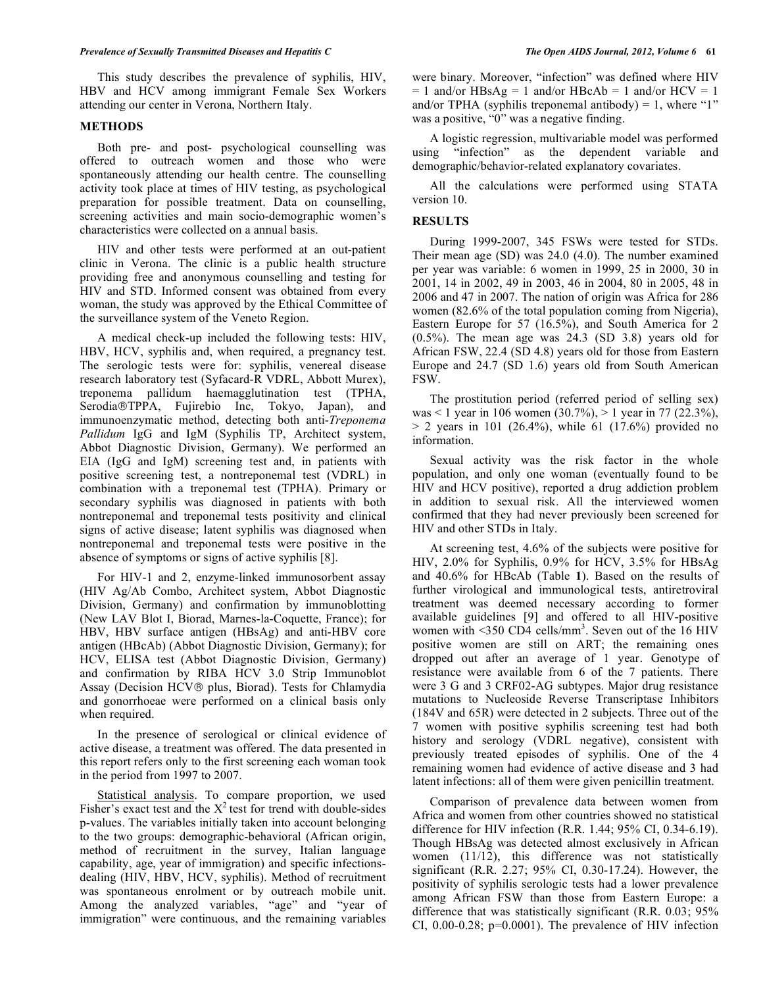This study describes the prevalence of syphilis, HIV, HBV and HCV among immigrant Female Sex Workers attending our center in Verona, Northern Italy.

### **METHODS**

 Both pre- and post- psychological counselling was offered to outreach women and those who were spontaneously attending our health centre. The counselling activity took place at times of HIV testing, as psychological preparation for possible treatment. Data on counselling, screening activities and main socio-demographic women's characteristics were collected on a annual basis.

 HIV and other tests were performed at an out-patient clinic in Verona. The clinic is a public health structure providing free and anonymous counselling and testing for HIV and STD. Informed consent was obtained from every woman, the study was approved by the Ethical Committee of the surveillance system of the Veneto Region.

 A medical check-up included the following tests: HIV, HBV, HCV, syphilis and, when required, a pregnancy test. The serologic tests were for: syphilis, venereal disease research laboratory test (Syfacard-R VDRL, Abbott Murex), treponema pallidum haemagglutination test (TPHA, Serodia®TPPA, Fujirebio Inc, Tokyo, Japan), and immunoenzymatic method, detecting both anti-*Treponema Pallidum* IgG and IgM (Syphilis TP, Architect system, Abbot Diagnostic Division, Germany). We performed an EIA (IgG and IgM) screening test and, in patients with positive screening test, a nontreponemal test (VDRL) in combination with a treponemal test (TPHA). Primary or secondary syphilis was diagnosed in patients with both nontreponemal and treponemal tests positivity and clinical signs of active disease; latent syphilis was diagnosed when nontreponemal and treponemal tests were positive in the absence of symptoms or signs of active syphilis [8].

 For HIV-1 and 2, enzyme-linked immunosorbent assay (HIV Ag/Ab Combo, Architect system, Abbot Diagnostic Division, Germany) and confirmation by immunoblotting (New LAV Blot I, Biorad, Marnes-la-Coquette, France); for HBV, HBV surface antigen (HBsAg) and anti-HBV core antigen (HBcAb) (Abbot Diagnostic Division, Germany); for HCV, ELISA test (Abbot Diagnostic Division, Germany) and confirmation by RIBA HCV 3.0 Strip Immunoblot Assay (Decision HCV<sup>®</sup> plus, Biorad). Tests for Chlamydia and gonorrhoeae were performed on a clinical basis only when required.

 In the presence of serological or clinical evidence of active disease, a treatment was offered. The data presented in this report refers only to the first screening each woman took in the period from 1997 to 2007.

 Statistical analysis. To compare proportion, we used Fisher's exact test and the  $X^2$  test for trend with double-sides p-values. The variables initially taken into account belonging to the two groups: demographic-behavioral (African origin, method of recruitment in the survey, Italian language capability, age, year of immigration) and specific infectionsdealing (HIV, HBV, HCV, syphilis). Method of recruitment was spontaneous enrolment or by outreach mobile unit. Among the analyzed variables, "age" and "year of immigration" were continuous, and the remaining variables

were binary. Moreover, "infection" was defined where HIV  $= 1$  and/or HBsAg  $= 1$  and/or HBcAb  $= 1$  and/or HCV  $= 1$ and/or TPHA (syphilis treponemal antibody) = 1, where "1" was a positive, "0" was a negative finding.

 A logistic regression, multivariable model was performed using "infection" as the dependent variable and demographic/behavior-related explanatory covariates.

 All the calculations were performed using STATA version 10.

#### **RESULTS**

 During 1999-2007, 345 FSWs were tested for STDs. Their mean age (SD) was 24.0 (4.0). The number examined per year was variable: 6 women in 1999, 25 in 2000, 30 in 2001, 14 in 2002, 49 in 2003, 46 in 2004, 80 in 2005, 48 in 2006 and 47 in 2007. The nation of origin was Africa for 286 women (82.6% of the total population coming from Nigeria), Eastern Europe for 57 (16.5%), and South America for 2  $(0.5\%)$ . The mean age was 24.3 (SD 3.8) years old for African FSW, 22.4 (SD 4.8) years old for those from Eastern Europe and 24.7 (SD 1.6) years old from South American FSW.

 The prostitution period (referred period of selling sex) was < 1 year in 106 women (30.7%), > 1 year in 77 (22.3%),  $> 2$  years in 101 (26.4%), while 61 (17.6%) provided no information.

 Sexual activity was the risk factor in the whole population, and only one woman (eventually found to be HIV and HCV positive), reported a drug addiction problem in addition to sexual risk. All the interviewed women confirmed that they had never previously been screened for HIV and other STDs in Italy.

 At screening test, 4.6% of the subjects were positive for HIV, 2.0% for Syphilis, 0.9% for HCV, 3.5% for HBsAg and 40.6% for HBcAb (Table **1**). Based on the results of further virological and immunological tests, antiretroviral treatment was deemed necessary according to former available guidelines [9] and offered to all HIV-positive women with  $\leq$ 350 CD4 cells/mm<sup>3</sup>. Seven out of the 16 HIV positive women are still on ART; the remaining ones dropped out after an average of 1 year. Genotype of resistance were available from 6 of the 7 patients. There were 3 G and 3 CRF02-AG subtypes. Major drug resistance mutations to Nucleoside Reverse Transcriptase Inhibitors (184V and 65R) were detected in 2 subjects. Three out of the 7 women with positive syphilis screening test had both history and serology (VDRL negative), consistent with previously treated episodes of syphilis. One of the 4 remaining women had evidence of active disease and 3 had latent infections: all of them were given penicillin treatment.

 Comparison of prevalence data between women from Africa and women from other countries showed no statistical difference for HIV infection (R.R. 1.44; 95% CI, 0.34-6.19). Though HBsAg was detected almost exclusively in African women (11/12), this difference was not statistically significant (R.R. 2.27; 95% CI, 0.30-17.24). However, the positivity of syphilis serologic tests had a lower prevalence among African FSW than those from Eastern Europe: a difference that was statistically significant (R.R. 0.03; 95% CI,  $0.00-0.28$ ;  $p=0.0001$ ). The prevalence of HIV infection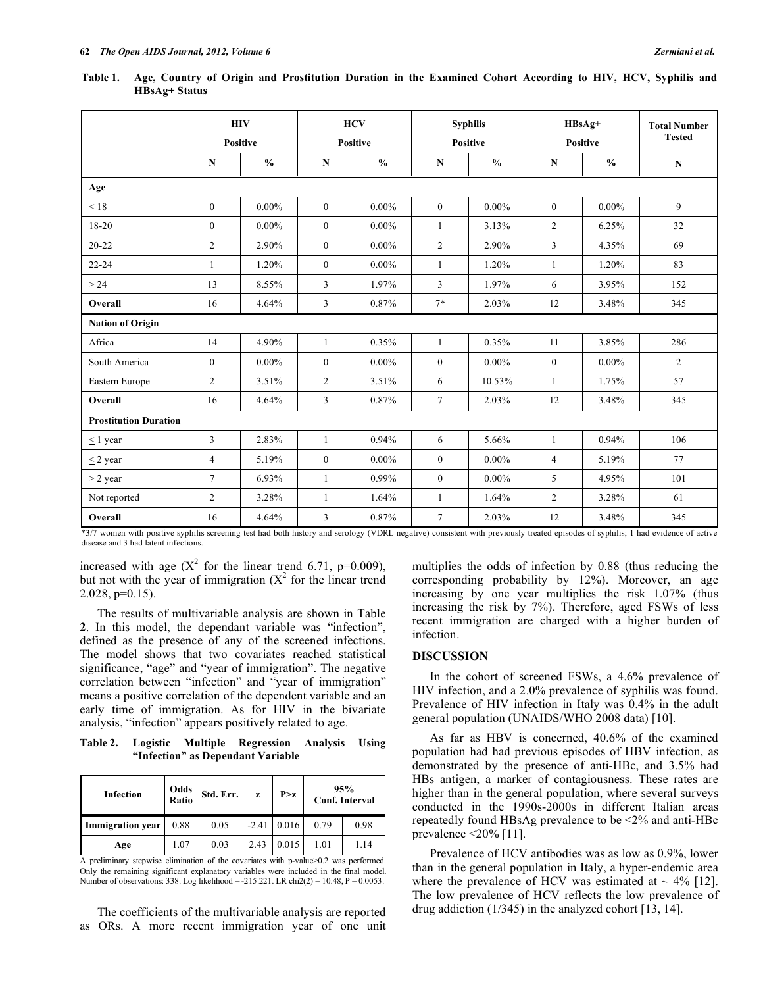|                              | <b>HIV</b><br><b>Positive</b> |               | <b>HCV</b><br><b>Positive</b> |               | <b>Syphilis</b><br><b>Positive</b> |               | $HBsAg+$<br><b>Positive</b> |               | <b>Total Number</b><br><b>Tested</b> |
|------------------------------|-------------------------------|---------------|-------------------------------|---------------|------------------------------------|---------------|-----------------------------|---------------|--------------------------------------|
|                              |                               |               |                               |               |                                    |               |                             |               |                                      |
|                              | $\mathbf N$                   | $\frac{0}{0}$ | $\mathbf N$                   | $\frac{0}{0}$ | $\mathbf N$                        | $\frac{0}{0}$ | N                           | $\frac{0}{0}$ | ${\bf N}$                            |
| Age                          |                               |               |                               |               |                                    |               |                             |               |                                      |
| < 18                         | $\mathbf{0}$                  | $0.00\%$      | $\mathbf{0}$                  | $0.00\%$      | $\overline{0}$                     | $0.00\%$      | $\mathbf{0}$                | $0.00\%$      | 9                                    |
| 18-20                        | $\theta$                      | $0.00\%$      | $\mathbf{0}$                  | $0.00\%$      | $\mathbf{1}$                       | 3.13%         | $\overline{c}$              | 6.25%         | 32                                   |
| $20 - 22$                    | $\overline{2}$                | 2.90%         | $\mathbf{0}$                  | $0.00\%$      | 2                                  | 2.90%         | 3                           | 4.35%         | 69                                   |
| $22 - 24$                    | 1                             | 1.20%         | $\mathbf{0}$                  | $0.00\%$      | 1                                  | 1.20%         | $\mathbf{1}$                | 1.20%         | 83                                   |
| > 24                         | 13                            | 8.55%         | 3                             | 1.97%         | $\overline{3}$                     | 1.97%         | 6                           | 3.95%         | 152                                  |
| Overall                      | 16                            | 4.64%         | 3                             | 0.87%         | $7*$                               | 2.03%         | 12                          | 3.48%         | 345                                  |
| <b>Nation of Origin</b>      |                               |               |                               |               |                                    |               |                             |               |                                      |
| Africa                       | 14                            | 4.90%         | $\mathbf{1}$                  | 0.35%         | $\mathbf{1}$                       | 0.35%         | 11                          | 3.85%         | 286                                  |
| South America                | $\mathbf{0}$                  | $0.00\%$      | $\boldsymbol{0}$              | $0.00\%$      | $\boldsymbol{0}$                   | $0.00\%$      | $\boldsymbol{0}$            | $0.00\%$      | 2                                    |
| Eastern Europe               | $\overline{c}$                | 3.51%         | $\overline{2}$                | 3.51%         | 6                                  | 10.53%        | $\mathbf{1}$                | 1.75%         | 57                                   |
| Overall                      | 16                            | 4.64%         | $\mathfrak{Z}$                | 0.87%         | $\tau$                             | 2.03%         | 12                          | 3.48%         | 345                                  |
| <b>Prostitution Duration</b> |                               |               |                               |               |                                    |               |                             |               |                                      |
| $< 1$ year                   | $\overline{3}$                | 2.83%         | $\mathbf{1}$                  | 0.94%         | 6                                  | 5.66%         | $\mathbf{1}$                | 0.94%         | 106                                  |
| $\leq$ 2 year                | $\overline{4}$                | 5.19%         | $\mathbf{0}$                  | $0.00\%$      | $\overline{0}$                     | $0.00\%$      | $\overline{4}$              | 5.19%         | 77                                   |
| $>$ 2 year                   | $\overline{7}$                | 6.93%         | $\mathbf{1}$                  | 0.99%         | $\overline{0}$                     | $0.00\%$      | 5                           | 4.95%         | 101                                  |
| Not reported                 | $\overline{2}$                | 3.28%         | 1                             | 1.64%         | $\mathbf{1}$                       | 1.64%         | $\overline{c}$              | 3.28%         | 61                                   |
| Overall                      | 16                            | 4.64%         | 3                             | 0.87%         | $\overline{7}$                     | 2.03%         | 12                          | 3.48%         | 345                                  |

**Table 1. Age, Country of Origin and Prostitution Duration in the Examined Cohort According to HIV, HCV, Syphilis and HBsAg+ Status** 

\*3/7 women with positive syphilis screening test had both history and serology (VDRL negative) consistent with previously treated episodes of syphilis; 1 had evidence of active disease and 3 had latent infections.

increased with age ( $X^2$  for the linear trend 6.71, p=0.009), but not with the year of immigration  $(X^2)$  for the linear trend  $2.028$ ,  $p=0.15$ ).

 The results of multivariable analysis are shown in Table **2**. In this model, the dependant variable was "infection", defined as the presence of any of the screened infections. The model shows that two covariates reached statistical significance, "age" and "year of immigration". The negative correlation between "infection" and "year of immigration" means a positive correlation of the dependent variable and an early time of immigration. As for HIV in the bivariate analysis, "infection" appears positively related to age.

**Table 2. Logistic Multiple Regression Analysis Using "Infection" as Dependant Variable** 

| <b>Infection</b>        | Odds<br>Ratio | Std. Err. | z       | P > z | 95%<br><b>Conf. Interval</b> |      |
|-------------------------|---------------|-----------|---------|-------|------------------------------|------|
| <b>Immigration</b> year | 0.88          | 0.05      | $-2.41$ | 0.016 | 0.79                         | 0.98 |
| Age                     | 1.07          | 0.03      | 2.43    | 0.015 | 1.01                         | 1.14 |

A preliminary stepwise elimination of the covariates with p-value>0.2 was performed. Only the remaining significant explanatory variables were included in the final model. Number of observations: 338. Log likelihood = -215.221. LR chi2(2) = 10.48, P = 0.0053.

 The coefficients of the multivariable analysis are reported as ORs. A more recent immigration year of one unit multiplies the odds of infection by 0.88 (thus reducing the corresponding probability by 12%). Moreover, an age increasing by one year multiplies the risk 1.07% (thus increasing the risk by 7%). Therefore, aged FSWs of less recent immigration are charged with a higher burden of infection.

#### **DISCUSSION**

 In the cohort of screened FSWs, a 4.6% prevalence of HIV infection, and a 2.0% prevalence of syphilis was found. Prevalence of HIV infection in Italy was 0.4% in the adult general population (UNAIDS/WHO 2008 data) [10].

 As far as HBV is concerned, 40.6% of the examined population had had previous episodes of HBV infection, as demonstrated by the presence of anti-HBc, and 3.5% had HBs antigen, a marker of contagiousness. These rates are higher than in the general population, where several surveys conducted in the 1990s-2000s in different Italian areas repeatedly found HBsAg prevalence to be <2% and anti-HBc prevalence  $\leq$ 20% [11].

 Prevalence of HCV antibodies was as low as 0.9%, lower than in the general population in Italy, a hyper-endemic area where the prevalence of HCV was estimated at  $\sim$  4% [12]. The low prevalence of HCV reflects the low prevalence of drug addiction (1/345) in the analyzed cohort [13, 14].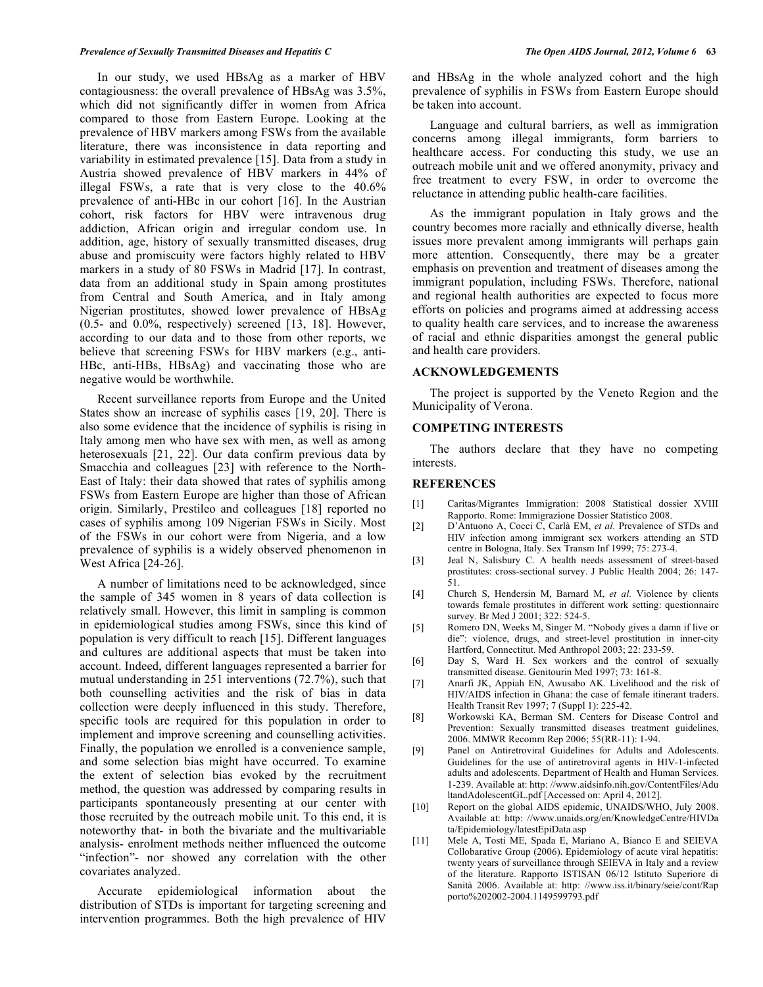In our study, we used HBsAg as a marker of HBV contagiousness: the overall prevalence of HBsAg was 3.5%, which did not significantly differ in women from Africa compared to those from Eastern Europe. Looking at the prevalence of HBV markers among FSWs from the available literature, there was inconsistence in data reporting and variability in estimated prevalence [15]. Data from a study in Austria showed prevalence of HBV markers in 44% of illegal FSWs, a rate that is very close to the 40.6% prevalence of anti-HBc in our cohort [16]. In the Austrian cohort, risk factors for HBV were intravenous drug addiction, African origin and irregular condom use. In addition, age, history of sexually transmitted diseases, drug abuse and promiscuity were factors highly related to HBV markers in a study of 80 FSWs in Madrid [17]. In contrast, data from an additional study in Spain among prostitutes from Central and South America, and in Italy among Nigerian prostitutes, showed lower prevalence of HBsAg  $(0.5-$  and  $0.0\%$ , respectively) screened [13, 18]. However, according to our data and to those from other reports, we believe that screening FSWs for HBV markers (e.g., anti-HBc, anti-HBs, HBsAg) and vaccinating those who are negative would be worthwhile.

 Recent surveillance reports from Europe and the United States show an increase of syphilis cases [19, 20]. There is also some evidence that the incidence of syphilis is rising in Italy among men who have sex with men, as well as among heterosexuals [21, 22]. Our data confirm previous data by Smacchia and colleagues [23] with reference to the North-East of Italy: their data showed that rates of syphilis among FSWs from Eastern Europe are higher than those of African origin. Similarly, Prestileo and colleagues [18] reported no cases of syphilis among 109 Nigerian FSWs in Sicily. Most of the FSWs in our cohort were from Nigeria, and a low prevalence of syphilis is a widely observed phenomenon in West Africa [24-26].

 A number of limitations need to be acknowledged, since the sample of 345 women in 8 years of data collection is relatively small. However, this limit in sampling is common in epidemiological studies among FSWs, since this kind of population is very difficult to reach [15]. Different languages and cultures are additional aspects that must be taken into account. Indeed, different languages represented a barrier for mutual understanding in 251 interventions (72.7%), such that both counselling activities and the risk of bias in data collection were deeply influenced in this study. Therefore, specific tools are required for this population in order to implement and improve screening and counselling activities. Finally, the population we enrolled is a convenience sample, and some selection bias might have occurred. To examine the extent of selection bias evoked by the recruitment method, the question was addressed by comparing results in participants spontaneously presenting at our center with those recruited by the outreach mobile unit. To this end, it is noteworthy that- in both the bivariate and the multivariable analysis- enrolment methods neither influenced the outcome "infection"- nor showed any correlation with the other covariates analyzed.

 Accurate epidemiological information about the distribution of STDs is important for targeting screening and intervention programmes. Both the high prevalence of HIV

and HBsAg in the whole analyzed cohort and the high prevalence of syphilis in FSWs from Eastern Europe should be taken into account.

 Language and cultural barriers, as well as immigration concerns among illegal immigrants, form barriers to healthcare access. For conducting this study, we use an outreach mobile unit and we offered anonymity, privacy and free treatment to every FSW, in order to overcome the reluctance in attending public health-care facilities.

 As the immigrant population in Italy grows and the country becomes more racially and ethnically diverse, health issues more prevalent among immigrants will perhaps gain more attention. Consequently, there may be a greater emphasis on prevention and treatment of diseases among the immigrant population, including FSWs. Therefore, national and regional health authorities are expected to focus more efforts on policies and programs aimed at addressing access to quality health care services, and to increase the awareness of racial and ethnic disparities amongst the general public and health care providers.

#### **ACKNOWLEDGEMENTS**

 The project is supported by the Veneto Region and the Municipality of Verona.

### **COMPETING INTERESTS**

 The authors declare that they have no competing interests.

## **REFERENCES**

- [1] Caritas/Migrantes Immigration: 2008 Statistical dossier XVIII Rapporto. Rome: Immigrazione Dossier Statistico 2008.
- [2] D'Antuono A, Cocci C, Carlà EM, *et al.* Prevalence of STDs and HIV infection among immigrant sex workers attending an STD centre in Bologna, Italy. Sex Transm Inf 1999; 75: 273-4.
- [3] Jeal N, Salisbury C. A health needs assessment of street-based prostitutes: cross-sectional survey. J Public Health 2004; 26: 147- 51.
- [4] Church S, Hendersin M, Barnard M, *et al.* Violence by clients towards female prostitutes in different work setting: questionnaire survey. Br Med J 2001; 322: 524-5.
- [5] Romero DN, Weeks M, Singer M. "Nobody gives a damn if live or die": violence, drugs, and street-level prostitution in inner-city Hartford, Connectitut. Med Anthropol 2003; 22: 233-59.
- [6] Day S, Ward H. Sex workers and the control of sexually transmitted disease. Genitourin Med 1997; 73: 161-8.
- [7] Anarfi JK, Appiah EN, Awusabo AK. Livelihood and the risk of HIV/AIDS infection in Ghana: the case of female itinerant traders. Health Transit Rev 1997; 7 (Suppl 1): 225-42.
- [8] Workowski KA, Berman SM. Centers for Disease Control and Prevention: Sexually transmitted diseases treatment guidelines, 2006. MMWR Recomm Rep 2006; 55(RR-11): 1-94.
- [9] Panel on Antiretroviral Guidelines for Adults and Adolescents. Guidelines for the use of antiretroviral agents in HIV-1-infected adults and adolescents. Department of Health and Human Services. 1-239. Available at: http: //www.aidsinfo.nih.gov/ContentFiles/Adu ltandAdolescentGL.pdf [Accessed on: April 4, 2012].
- [10] Report on the global AIDS epidemic, UNAIDS/WHO, July 2008. Available at: http: //www.unaids.org/en/KnowledgeCentre/HIVDa ta/Epidemiology/latestEpiData.asp
- [11] Mele A, Tosti ME, Spada E, Mariano A, Bianco E and SEIEVA Collobarative Group (2006). Epidemiology of acute viral hepatitis: twenty years of surveillance through SEIEVA in Italy and a review of the literature. Rapporto ISTISAN 06/12 Istituto Superiore di Sanità 2006. Available at: http: //www.iss.it/binary/seie/cont/Rap porto%202002-2004.1149599793.pdf